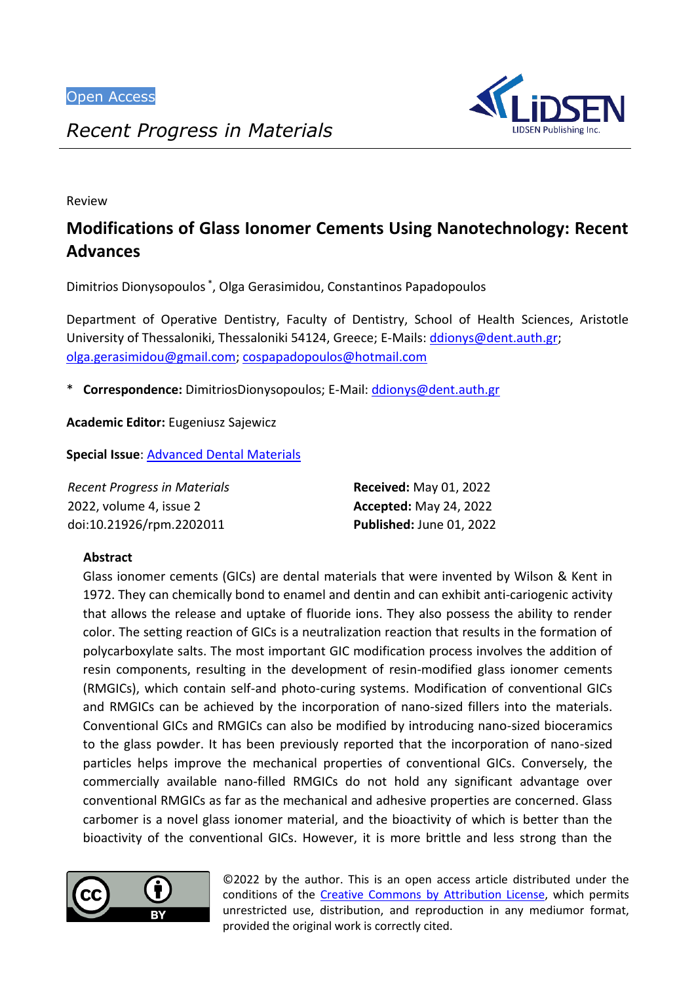

*Recent Progress in Materials*

Review

# **Modifications of Glass Ionomer Cements Using Nanotechnology: Recent Advances**

Dimitrios Dionysopoulos \* , Olga Gerasimidou, Constantinos Papadopoulos

Department of Operative Dentistry, Faculty of Dentistry, School of Health Sciences, Aristotle University of Thessaloniki, Thessaloniki 54124, Greece; E-Mails[: ddionys@dent.auth.gr;](mailto:ddionys@dent.auth.gr) [olga.gerasimidou@gmail.com;](mailto:olga.gerasimidou@gmail.com) [cospapadopoulos@hotmail.com](mailto:cospapadopoulos@hotmail.com)

\* **Correspondence:** DimitriosDionysopoulos; E-Mail: [ddionys@dent.auth.gr](mailto:ddionys@dent.auth.gr)

**Academic Editor:** Eugeniusz Sajewicz

**Special Issue**: [Advanced Dental Materials](https://www.lidsen.com/journals/rpm/rpm-special-issues/advanced-dental-materials)

| Recent Progress in Materials | <b>Received: May 01, 2022</b> |
|------------------------------|-------------------------------|
| 2022, volume 4, issue 2      | <b>Accepted: May 24, 2022</b> |
| doi:10.21926/rpm.2202011     | Published: June 01, 2022      |

# **Abstract**

Glass ionomer cements (GICs) are dental materials that were invented by Wilson & Kent in 1972. They can chemically bond to enamel and dentin and can exhibit anti-cariogenic activity that allows the release and uptake of fluoride ions. They also possess the ability to render color. The setting reaction of GICs is a neutralization reaction that results in the formation of polycarboxylate salts. The most important GIC modification process involves the addition of resin components, resulting in the development of resin-modified glass ionomer cements (RMGICs), which contain self-and photo-curing systems. Modification of conventional GICs and RMGICs can be achieved by the incorporation of nano-sized fillers into the materials. Conventional GICs and RMGICs can also be modified by introducing nano-sized bioceramics to the glass powder. It has been previously reported that the incorporation of nano-sized particles helps improve the mechanical properties of conventional GICs. Conversely, the commercially available nano-filled RMGICs do not hold any significant advantage over conventional RMGICs as far as the mechanical and adhesive properties are concerned. Glass carbomer is a novel glass ionomer material, and the bioactivity of which is better than the bioactivity of the conventional GICs. However, it is more brittle and less strong than the



© 2022 by the author. This is an open access article distributed under the conditions of the [Creative Commons by Attribution License,](http://creativecommons.org/licenses/by/4.0/) which permits unrestricted use, distribution, and reproduction in any mediumor format, provided the original work is correctly cited.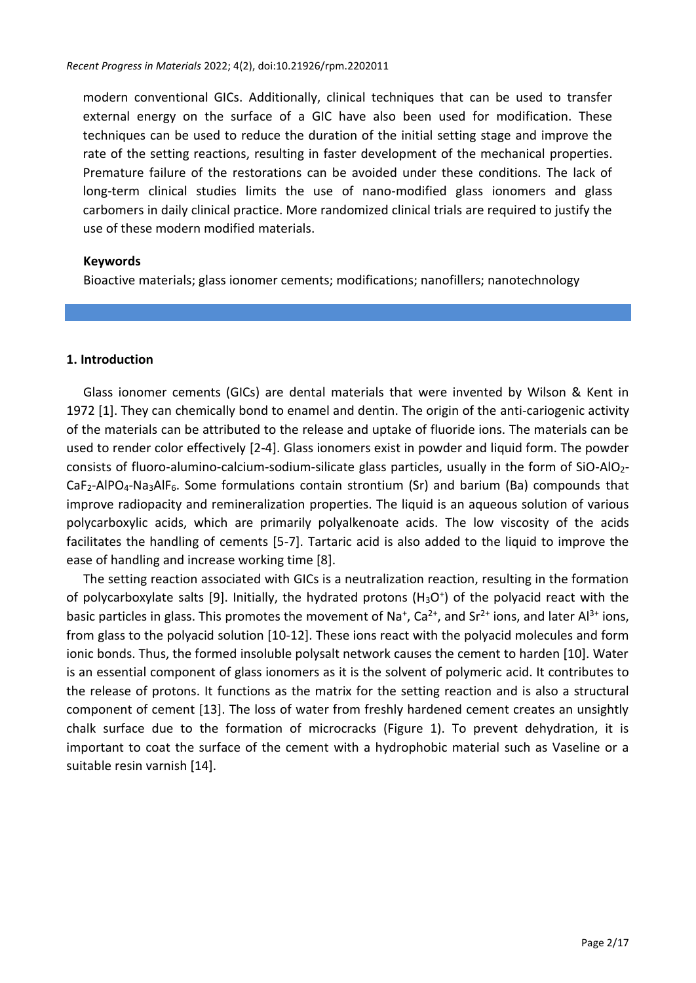modern conventional GICs. Additionally, clinical techniques that can be used to transfer external energy on the surface of a GIC have also been used for modification. These techniques can be used to reduce the duration of the initial setting stage and improve the rate of the setting reactions, resulting in faster development of the mechanical properties. Premature failure of the restorations can be avoided under these conditions. The lack of long-term clinical studies limits the use of nano-modified glass ionomers and glass carbomers in daily clinical practice. More randomized clinical trials are required to justify the use of these modern modified materials.

### **Keywords**

Bioactive materials; glass ionomer cements; modifications; nanofillers; nanotechnology

## **1. Introduction**

Glass ionomer cements (GICs) are dental materials that were invented by Wilson & Kent in 1972 [1]. They can chemically bond to enamel and dentin. The origin of the anti-cariogenic activity of the materials can be attributed to the release and uptake of fluoride ions. The materials can be used to render color effectively [2-4]. Glass ionomers exist in powder and liquid form. The powder consists of fluoro-alumino-calcium-sodium-silicate glass particles, usually in the form of SiO-AlO2- CaF<sub>2</sub>-AlPO<sub>4</sub>-Na<sub>3</sub>AlF<sub>6</sub>. Some formulations contain strontium (Sr) and barium (Ba) compounds that improve radiopacity and remineralization properties. The liquid is an aqueous solution of various polycarboxylic acids, which are primarily polyalkenoate acids. The low viscosity of the acids facilitates the handling of cements [5-7]. Tartaric acid is also added to the liquid to improve the ease of handling and increase working time [8].

The setting reaction associated with GICs is a neutralization reaction, resulting in the formation of polycarboxylate salts [9]. Initially, the hydrated protons (H<sub>3</sub>O<sup>+</sup>) of the polyacid react with the basic particles in glass. This promotes the movement of Na<sup>+</sup>, Ca<sup>2+</sup>, and Sr<sup>2+</sup> ions, and later Al<sup>3+</sup> ions, from glass to the polyacid solution [10-12]. These ions react with the polyacid molecules and form ionic bonds. Thus, the formed insoluble polysalt network causes the cement to harden [10]. Water is an essential component of glass ionomers as it is the solvent of polymeric acid. It contributes to the release of protons. It functions as the matrix for the setting reaction and is also a structural component of cement [13]. The loss of water from freshly hardened cement creates an unsightly chalk surface due to the formation of microcracks (Figure 1). To prevent dehydration, it is important to coat the surface of the cement with a hydrophobic material such as Vaseline or a suitable resin varnish [14].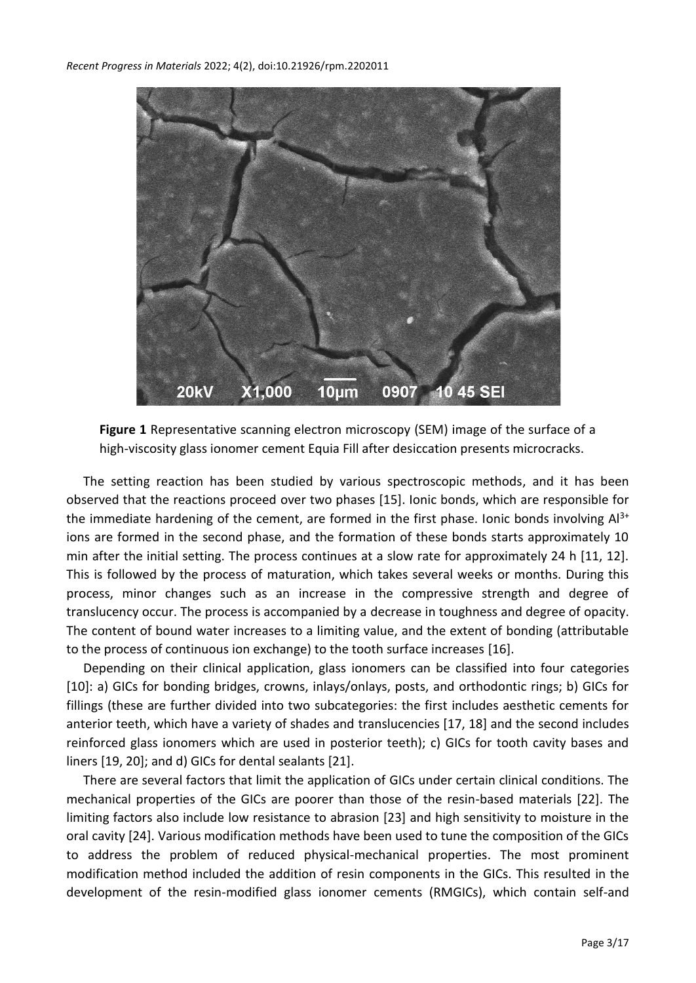



The setting reaction has been studied by various spectroscopic methods, and it has been observed that the reactions proceed over two phases [15]. Ionic bonds, which are responsible for the immediate hardening of the cement, are formed in the first phase. Ionic bonds involving  $Al^{3+}$ ions are formed in the second phase, and the formation of these bonds starts approximately 10 min after the initial setting. The process continues at a slow rate for approximately 24 h [11, 12]. This is followed by the process of maturation, which takes several weeks or months. During this process, minor changes such as an increase in the compressive strength and degree of translucency occur. The process is accompanied by a decrease in toughness and degree of opacity. The content of bound water increases to a limiting value, and the extent of bonding (attributable to the process of continuous ion exchange) to the tooth surface increases [16].

Depending on their clinical application, glass ionomers can be classified into four categories [10]: a) GICs for bonding bridges, crowns, inlays/onlays, posts, and orthodontic rings; b) GICs for fillings (these are further divided into two subcategories: the first includes aesthetic cements for anterior teeth, which have a variety of shades and translucencies [17, 18] and the second includes reinforced glass ionomers which are used in posterior teeth); c) GICs for tooth cavity bases and liners [19, 20]; and d) GICs for dental sealants [21].

There are several factors that limit the application of GICs under certain clinical conditions. The mechanical properties of the GICs are poorer than those of the resin-based materials [22]. The limiting factors also include low resistance to abrasion [23] and high sensitivity to moisture in the oral cavity [24]. Various modification methods have been used to tune the composition of the GICs to address the problem of reduced physical-mechanical properties. The most prominent modification method included the addition of resin components in the GICs. This resulted in the development of the resin-modified glass ionomer cements (RMGICs), which contain self-and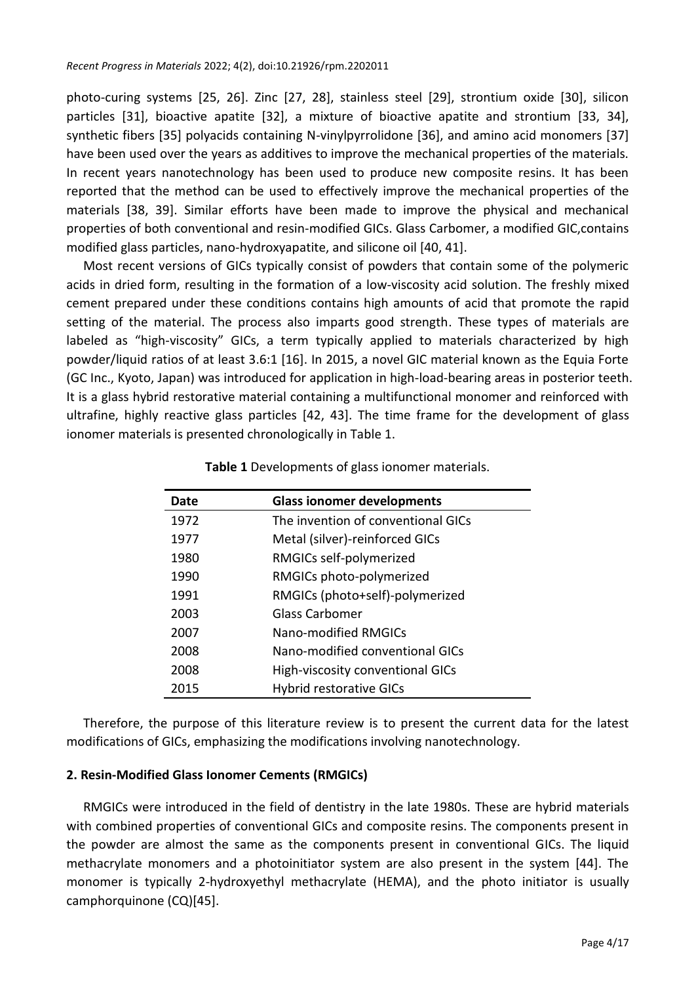photo-curing systems [25, 26]. Zinc [27, 28], stainless steel [29], strontium oxide [30], silicon particles [31], bioactive apatite [32], a mixture of bioactive apatite and strontium [33, 34], synthetic fibers [35] polyacids containing N-vinylpyrrolidone [36], and amino acid monomers [37] have been used over the years as additives to improve the mechanical properties of the materials. In recent years nanotechnology has been used to produce new composite resins. It has been reported that the method can be used to effectively improve the mechanical properties of the materials [38, 39]. Similar efforts have been made to improve the physical and mechanical properties of both conventional and resin-modified GICs. Glass Carbomer, a modified GIC,contains modified glass particles, nano-hydroxyapatite, and silicone oil [40, 41].

Most recent versions of GICs typically consist of powders that contain some of the polymeric acids in dried form, resulting in the formation of a low-viscosity acid solution. The freshly mixed cement prepared under these conditions contains high amounts of acid that promote the rapid setting of the material. The process also imparts good strength. These types of materials are labeled as "high-viscosity" GICs, a term typically applied to materials characterized by high powder/liquid ratios of at least 3.6:1 [16]. In 2015, a novel GIC material known as the Equia Forte (GC Inc., Kyoto, Japan) was introduced for application in high-load-bearing areas in posterior teeth. It is a glass hybrid restorative material containing a multifunctional monomer and reinforced with ultrafine, highly reactive glass particles [42, 43]. The time frame for the development of glass ionomer materials is presented chronologically in Table 1.

| Date | <b>Glass ionomer developments</b>  |
|------|------------------------------------|
| 1972 | The invention of conventional GICs |
| 1977 | Metal (silver)-reinforced GICs     |
| 1980 | RMGICs self-polymerized            |
| 1990 | RMGICs photo-polymerized           |
| 1991 | RMGICs (photo+self)-polymerized    |
| 2003 | Glass Carbomer                     |
| 2007 | Nano-modified RMGICs               |
| 2008 | Nano-modified conventional GICs    |
| 2008 | High-viscosity conventional GICs   |
| 2015 | <b>Hybrid restorative GICs</b>     |

**Table 1** Developments of glass ionomer materials.

Therefore, the purpose of this literature review is to present the current data for the latest modifications of GICs, emphasizing the modifications involving nanotechnology.

# **2. Resin-Modified Glass Ionomer Cements (RMGICs)**

RMGICs were introduced in the field of dentistry in the late 1980s. These are hybrid materials with combined properties of conventional GICs and composite resins. The components present in the powder are almost the same as the components present in conventional GICs. The liquid methacrylate monomers and a photoinitiator system are also present in the system [44]. The monomer is typically 2-hydroxyethyl methacrylate (HEMA), and the photo initiator is usually camphorquinone (CQ)[45].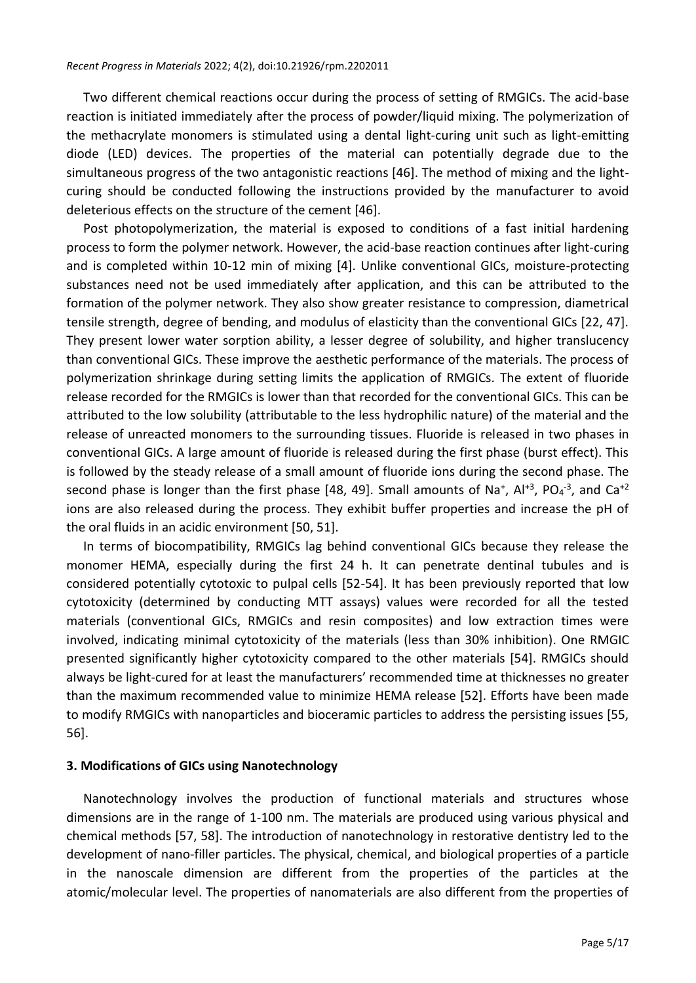Two different chemical reactions occur during the process of setting of RMGICs. The acid-base reaction is initiated immediately after the process of powder/liquid mixing. The polymerization of the methacrylate monomers is stimulated using a dental light-curing unit such as light-emitting diode (LED) devices. The properties of the material can potentially degrade due to the simultaneous progress of the two antagonistic reactions [46]. The method of mixing and the lightcuring should be conducted following the instructions provided by the manufacturer to avoid deleterious effects on the structure of the cement [46].

Post photopolymerization, the material is exposed to conditions of a fast initial hardening process to form the polymer network. However, the acid-base reaction continues after light-curing and is completed within 10-12 min of mixing [4]. Unlike conventional GICs, moisture-protecting substances need not be used immediately after application, and this can be attributed to the formation of the polymer network. They also show greater resistance to compression, diametrical tensile strength, degree of bending, and modulus of elasticity than the conventional GICs [22, 47]. They present lower water sorption ability, a lesser degree of solubility, and higher translucency than conventional GICs. These improve the aesthetic performance of the materials. The process of polymerization shrinkage during setting limits the application of RMGICs. The extent of fluoride release recorded for the RMGICs is lower than that recorded for the conventional GICs. This can be attributed to the low solubility (attributable to the less hydrophilic nature) of the material and the release of unreacted monomers to the surrounding tissues. Fluoride is released in two phases in conventional GICs. A large amount of fluoride is released during the first phase (burst effect). This is followed by the steady release of a small amount of fluoride ions during the second phase. The second phase is longer than the first phase [48, 49]. Small amounts of Na<sup>+</sup>, Al<sup>+3</sup>, PO<sub>4</sub><sup>-3</sup>, and Ca<sup>+2</sup> ions are also released during the process. They exhibit buffer properties and increase the pH of the oral fluids in an acidic environment [50, 51].

In terms of biocompatibility, RMGICs lag behind conventional GICs because they release the monomer HEMA, especially during the first 24 h. It can penetrate dentinal tubules and is considered potentially cytotoxic to pulpal cells [52-54]. It has been previously reported that low cytotoxicity (determined by conducting MTT assays) values were recorded for all the tested materials (conventional GICs, RMGICs and resin composites) and low extraction times were involved, indicating minimal cytotoxicity of the materials (less than 30% inhibition). One RMGIC presented significantly higher cytotoxicity compared to the other materials [54]. RMGICs should always be light-cured for at least the manufacturers' recommended time at thicknesses no greater than the maximum recommended value to minimize HEMA release [52]. Efforts have been made to modify RMGICs with nanoparticles and bioceramic particles to address the persisting issues [55, 56].

### **3. Modifications of GICs using Nanotechnology**

Nanotechnology involves the production of functional materials and structures whose dimensions are in the range of 1-100 nm. The materials are produced using various physical and chemical methods [57, 58]. The introduction of nanotechnology in restorative dentistry led to the development of nano-filler particles. The physical, chemical, and biological properties of a particle in the nanoscale dimension are different from the properties of the particles at the atomic/molecular level. The properties of nanomaterials are also different from the properties of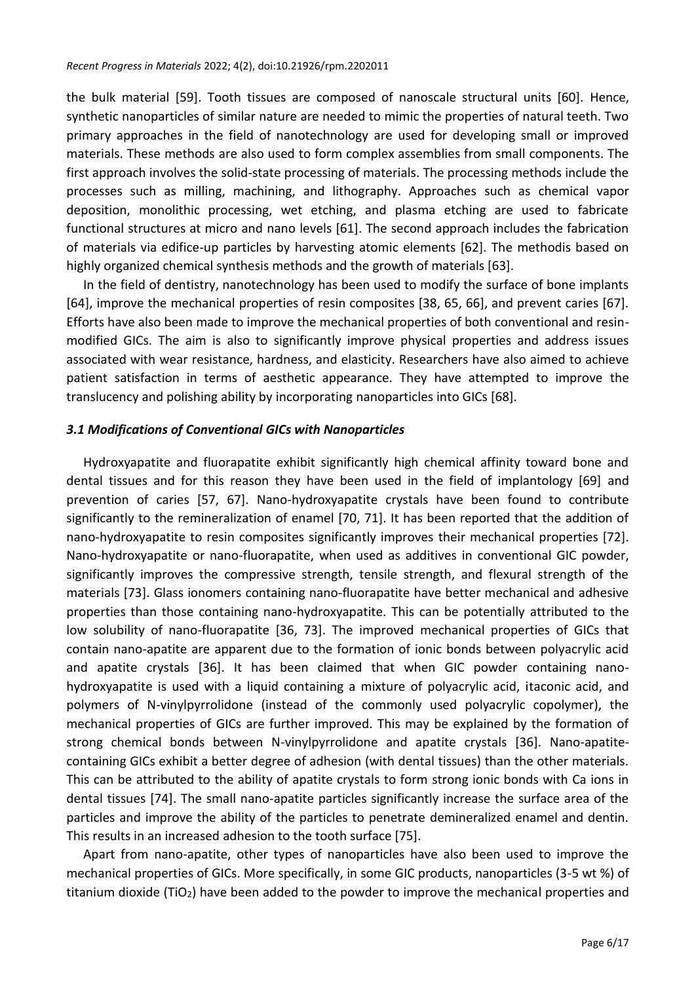the bulk material [59]. Tooth tissues are composed of nanoscale structural units [60]. Hence, synthetic nanoparticles of similar nature are needed to mimic the properties of natural teeth. Two primary approaches in the field of nanotechnology are used for developing small or improved materials. These methods are also used to form complex assemblies from small components. The first approach involves the solid-state processing of materials. The processing methods include the processes such as milling, machining, and lithography. Approaches such as chemical vapor deposition, monolithic processing, wet etching, and plasma etching are used to fabricate functional structures at micro and nano levels [61]. The second approach includes the fabrication of materials via edifice-up particles by harvesting atomic elements [62]. The methodis based on highly organized chemical synthesis methods and the growth of materials [63].

In the field of dentistry, nanotechnology has been used to modify the surface of bone implants [64], improve the mechanical properties of resin composites [38, 65, 66], and prevent caries [67]. Efforts have also been made to improve the mechanical properties of both conventional and resinmodified GICs. The aim is also to significantly improve physical properties and address issues associated with wear resistance, hardness, and elasticity. Researchers have also aimed to achieve patient satisfaction in terms of aesthetic appearance. They have attempted to improve the translucency and polishing ability by incorporating nanoparticles into GICs [68].

# *3.1 Modifications of Conventional GICs with Nanoparticles*

Hydroxyapatite and fluorapatite exhibit significantly high chemical affinity toward bone and dental tissues and for this reason they have been used in the field of implantology [69] and prevention of caries [57, 67]. Nano-hydroxyapatite crystals have been found to contribute significantly to the remineralization of enamel [70, 71]. It has been reported that the addition of nano-hydroxyapatite to resin composites significantly improves their mechanical properties [72]. Nano-hydroxyapatite or nano-fluorapatite, when used as additives in conventional GIC powder, significantly improves the compressive strength, tensile strength, and flexural strength of the materials [73]. Glass ionomers containing nano-fluorapatite have better mechanical and adhesive properties than those containing nano-hydroxyapatite. This can be potentially attributed to the low solubility of nano-fluorapatite [36, 73]. The improved mechanical properties of GICs that contain nano-apatite are apparent due to the formation of ionic bonds between polyacrylic acid and apatite crystals [36]. It has been claimed that when GIC powder containing nanohydroxyapatite is used with a liquid containing a mixture of polyacrylic acid, itaconic acid, and polymers of N-vinylpyrrolidone (instead of the commonly used polyacrylic copolymer), the mechanical properties of GICs are further improved. This may be explained by the formation of strong chemical bonds between N-vinylpyrrolidone and apatite crystals [36]. Nano-apatitecontaining GICs exhibit a better degree of adhesion (with dental tissues) than the other materials. This can be attributed to the ability of apatite crystals to form strong ionic bonds with Ca ions in dental tissues [74]. The small nano-apatite particles significantly increase the surface area of the particles and improve the ability of the particles to penetrate demineralized enamel and dentin. This results in an increased adhesion to the tooth surface [75].

Apart from nano-apatite, other types of nanoparticles have also been used to improve the mechanical properties of GICs. More specifically, in some GIC products, nanoparticles (3-5 wt %) of titanium dioxide (TiO<sub>2</sub>) have been added to the powder to improve the mechanical properties and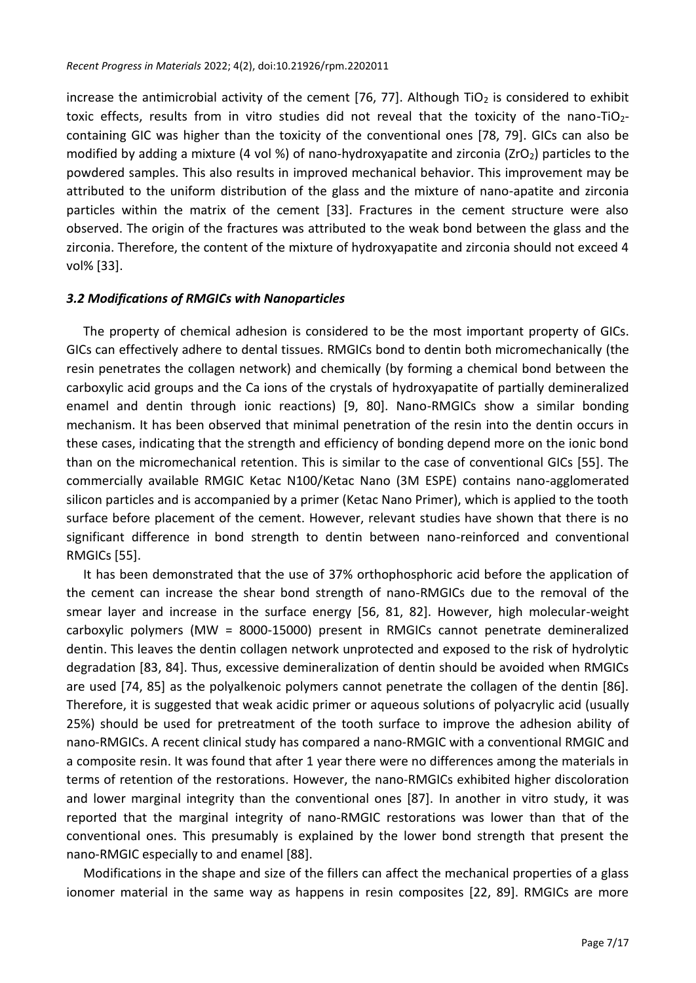increase the antimicrobial activity of the cement  $[76, 77]$ . Although TiO<sub>2</sub> is considered to exhibit toxic effects, results from in vitro studies did not reveal that the toxicity of the nano-TiO<sub>2</sub>containing GIC was higher than the toxicity of the conventional ones [78, 79]. GICs can also be modified by adding a mixture (4 vol %) of nano-hydroxyapatite and zirconia (ZrO<sub>2</sub>) particles to the powdered samples. This also results in improved mechanical behavior. This improvement may be attributed to the uniform distribution of the glass and the mixture of nano-apatite and zirconia particles within the matrix of the cement [33]. Fractures in the cement structure were also observed. The origin of the fractures was attributed to the weak bond between the glass and the zirconia. Therefore, the content of the mixture of hydroxyapatite and zirconia should not exceed 4 vol% [33].

## *3.2 Modifications of RMGICs with Nanoparticles*

The property of chemical adhesion is considered to be the most important property of GICs. GICs can effectively adhere to dental tissues. RMGICs bond to dentin both micromechanically (the resin penetrates the collagen network) and chemically (by forming a chemical bond between the carboxylic acid groups and the Ca ions of the crystals of hydroxyapatite of partially demineralized enamel and dentin through ionic reactions) [9, 80]. Nano-RMGICs show a similar bonding mechanism. It has been observed that minimal penetration of the resin into the dentin occurs in these cases, indicating that the strength and efficiency of bonding depend more on the ionic bond than on the micromechanical retention. This is similar to the case of conventional GICs [55]. The commercially available RMGIC Ketac N100/Ketac Nano (3M ESPE) contains nano-agglomerated silicon particles and is accompanied by a primer (Ketac Nano Primer), which is applied to the tooth surface before placement of the cement. However, relevant studies have shown that there is no significant difference in bond strength to dentin between nano-reinforced and conventional RMGICs [55].

It has been demonstrated that the use of 37% orthophosphoric acid before the application of the cement can increase the shear bond strength of nano-RMGICs due to the removal of the smear layer and increase in the surface energy [56, 81, 82]. However, high molecular-weight carboxylic polymers (MW = 8000-15000) present in RMGICs cannot penetrate demineralized dentin. This leaves the dentin collagen network unprotected and exposed to the risk of hydrolytic degradation [83, 84]. Thus, excessive demineralization of dentin should be avoided when RMGICs are used [74, 85] as the polyalkenoic polymers cannot penetrate the collagen of the dentin [86]. Therefore, it is suggested that weak acidic primer or aqueous solutions of polyacrylic acid (usually 25%) should be used for pretreatment of the tooth surface to improve the adhesion ability of nano-RMGICs. A recent clinical study has compared a nano-RMGIC with a conventional RMGIC and a composite resin. It was found that after 1 year there were no differences among the materials in terms of retention of the restorations. However, the nano-RMGICs exhibited higher discoloration and lower marginal integrity than the conventional ones [87]. In another in vitro study, it was reported that the marginal integrity of nano-RMGIC restorations was lower than that of the conventional ones. This presumably is explained by the lower bond strength that present the nano-RMGIC especially to and enamel [88].

Modifications in the shape and size of the fillers can affect the mechanical properties of a glass ionomer material in the same way as happens in resin composites [22, 89]. RMGICs are more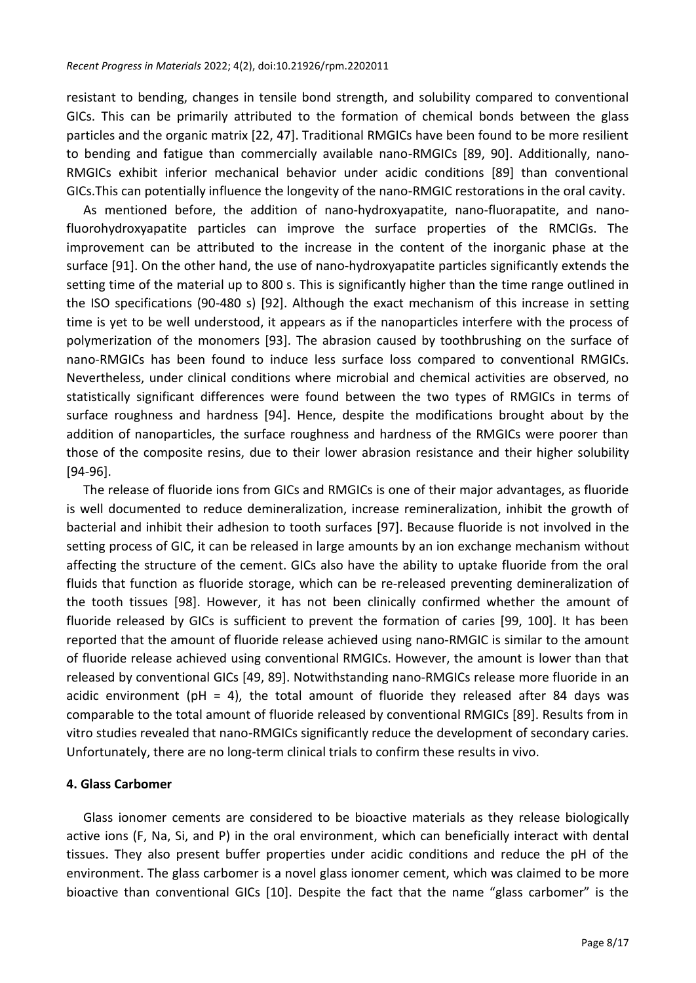resistant to bending, changes in tensile bond strength, and solubility compared to conventional GICs. This can be primarily attributed to the formation of chemical bonds between the glass particles and the organic matrix [22, 47]. Traditional RMGICs have been found to be more resilient to bending and fatigue than commercially available nano-RMGICs [89, 90]. Additionally, nano-RMGICs exhibit inferior mechanical behavior under acidic conditions [89] than conventional GICs.This can potentially influence the longevity of the nano-RMGIC restorations in the oral cavity.

As mentioned before, the addition of nano-hydroxyapatite, nano-fluorapatite, and nanofluorohydroxyapatite particles can improve the surface properties of the RMCIGs. The improvement can be attributed to the increase in the content of the inorganic phase at the surface [91]. On the other hand, the use of nano-hydroxyapatite particles significantly extends the setting time of the material up to 800 s. This is significantly higher than the time range outlined in the ISO specifications (90-480 s) [92]. Although the exact mechanism of this increase in setting time is yet to be well understood, it appears as if the nanoparticles interfere with the process of polymerization of the monomers [93]. The abrasion caused by toothbrushing on the surface of nano-RMGICs has been found to induce less surface loss compared to conventional RMGICs. Nevertheless, under clinical conditions where microbial and chemical activities are observed, no statistically significant differences were found between the two types of RMGICs in terms of surface roughness and hardness [94]. Hence, despite the modifications brought about by the addition of nanoparticles, the surface roughness and hardness of the RMGICs were poorer than those of the composite resins, due to their lower abrasion resistance and their higher solubility [94-96].

The release of fluoride ions from GICs and RMGICs is one of their major advantages, as fluoride is well documented to reduce demineralization, increase remineralization, inhibit the growth of bacterial and inhibit their adhesion to tooth surfaces [97]. Because fluoride is not involved in the setting process of GIC, it can be released in large amounts by an ion exchange mechanism without affecting the structure of the cement. GICs also have the ability to uptake fluoride from the oral fluids that function as fluoride storage, which can be re-released preventing demineralization of the tooth tissues [98]. However, it has not been clinically confirmed whether the amount of fluoride released by GICs is sufficient to prevent the formation of caries [99, 100]. It has been reported that the amount of fluoride release achieved using nano-RMGIC is similar to the amount of fluoride release achieved using conventional RMGICs. However, the amount is lower than that released by conventional GICs [49, 89]. Notwithstanding nano-RMGICs release more fluoride in an acidic environment (pH = 4), the total amount of fluoride they released after 84 days was comparable to the total amount of fluoride released by conventional RMGICs [89]. Results from in vitro studies revealed that nano-RMGICs significantly reduce the development of secondary caries. Unfortunately, there are no long-term clinical trials to confirm these results in vivo.

## **4. Glass Carbomer**

Glass ionomer cements are considered to be bioactive materials as they release biologically active ions (F, Na, Si, and P) in the oral environment, which can beneficially interact with dental tissues. They also present buffer properties under acidic conditions and reduce the pH of the environment. The glass carbomer is a novel glass ionomer cement, which was claimed to be more bioactive than conventional GICs [10]. Despite the fact that the name "glass carbomer" is the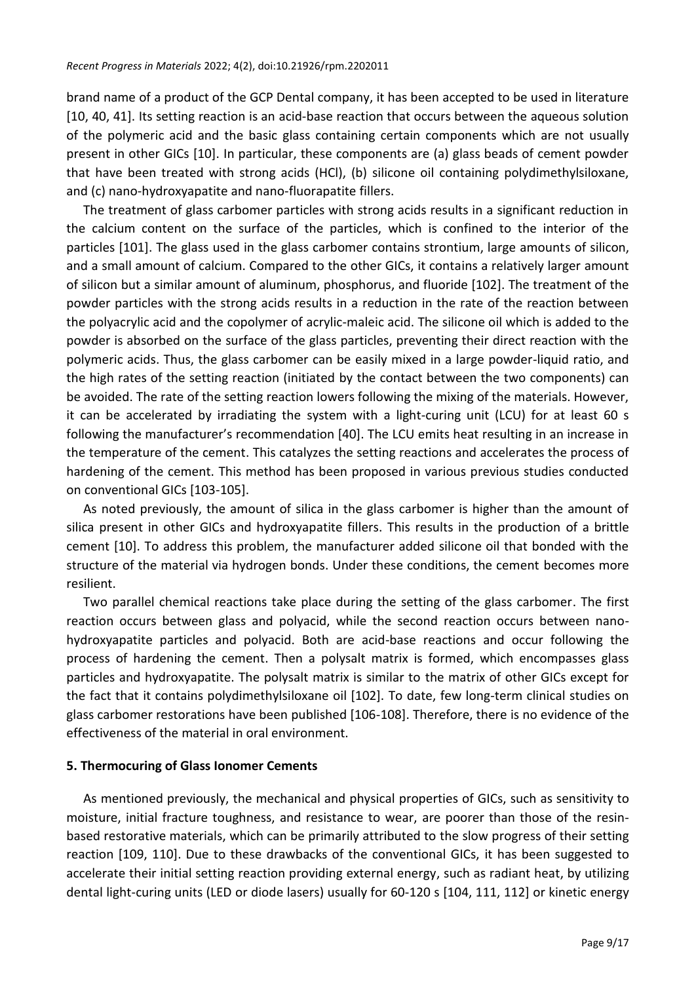brand name of a product of the GCP Dental company, it has been accepted to be used in literature [10, 40, 41]. Its setting reaction is an acid-base reaction that occurs between the aqueous solution of the polymeric acid and the basic glass containing certain components which are not usually present in other GICs [10]. In particular, these components are (a) glass beads of cement powder that have been treated with strong acids (HCl), (b) silicone oil containing polydimethylsiloxane, and (c) nano-hydroxyapatite and nano-fluorapatite fillers.

The treatment of glass carbomer particles with strong acids results in a significant reduction in the calcium content on the surface of the particles, which is confined to the interior of the particles [101]. The glass used in the glass carbomer contains strontium, large amounts of silicon, and a small amount of calcium. Compared to the other GICs, it contains a relatively larger amount of silicon but a similar amount of aluminum, phosphorus, and fluoride [102]. The treatment of the powder particles with the strong acids results in a reduction in the rate of the reaction between the polyacrylic acid and the copolymer of acrylic-maleic acid. The silicone oil which is added to the powder is absorbed on the surface of the glass particles, preventing their direct reaction with the polymeric acids. Thus, the glass carbomer can be easily mixed in a large powder-liquid ratio, and the high rates of the setting reaction (initiated by the contact between the two components) can be avoided. The rate of the setting reaction lowers following the mixing of the materials. However, it can be accelerated by irradiating the system with a light-curing unit (LCU) for at least 60 s following the manufacturer's recommendation [40]. The LCU emits heat resulting in an increase in the temperature of the cement. This catalyzes the setting reactions and accelerates the process of hardening of the cement. This method has been proposed in various previous studies conducted on conventional GICs [103-105].

As noted previously, the amount of silica in the glass carbomer is higher than the amount of silica present in other GICs and hydroxyapatite fillers. This results in the production of a brittle cement [10]. To address this problem, the manufacturer added silicone oil that bonded with the structure of the material via hydrogen bonds. Under these conditions, the cement becomes more resilient.

Two parallel chemical reactions take place during the setting of the glass carbomer. The first reaction occurs between glass and polyacid, while the second reaction occurs between nanohydroxyapatite particles and polyacid. Both are acid-base reactions and occur following the process of hardening the cement. Then a polysalt matrix is formed, which encompasses glass particles and hydroxyapatite. The polysalt matrix is similar to the matrix of other GICs except for the fact that it contains polydimethylsiloxane oil [102]. To date, few long-term clinical studies on glass carbomer restorations have been published [106-108]. Therefore, there is no evidence of the effectiveness of the material in oral environment.

# **5. Thermocuring of Glass Ionomer Cements**

As mentioned previously, the mechanical and physical properties of GICs, such as sensitivity to moisture, initial fracture toughness, and resistance to wear, are poorer than those of the resinbased restorative materials, which can be primarily attributed to the slow progress of their setting reaction [109, 110]. Due to these drawbacks of the conventional GICs, it has been suggested to accelerate their initial setting reaction providing external energy, such as radiant heat, by utilizing dental light-curing units (LED or diode lasers) usually for 60-120 s [104, 111, 112] or kinetic energy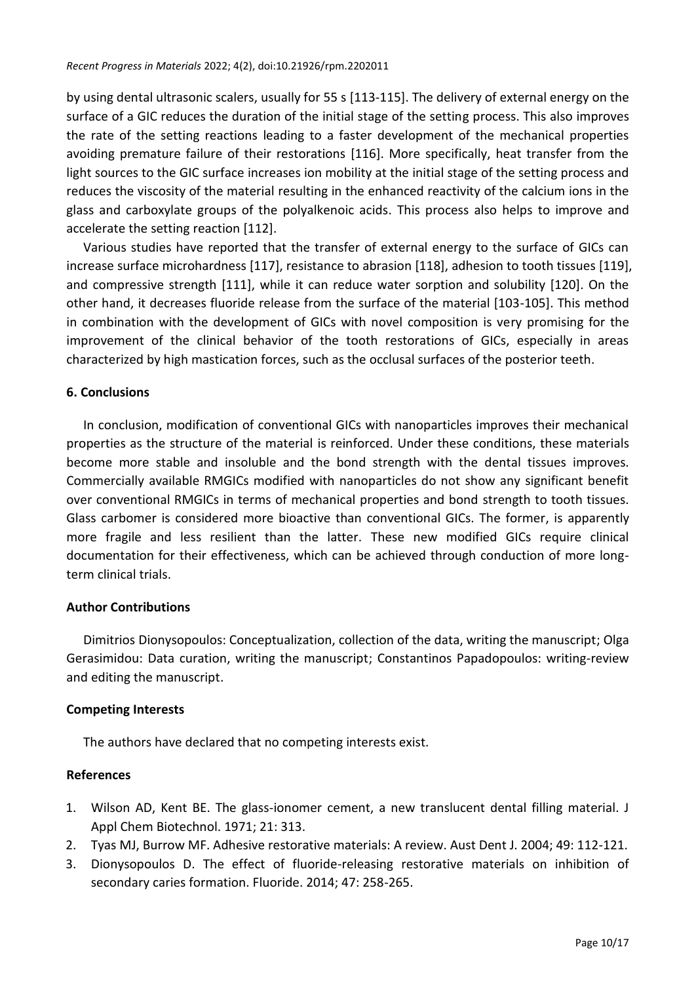by using dental ultrasonic scalers, usually for 55 s [113-115]. The delivery of external energy on the surface of a GIC reduces the duration of the initial stage of the setting process. This also improves the rate of the setting reactions leading to a faster development of the mechanical properties avoiding premature failure of their restorations [116]. More specifically, heat transfer from the light sources to the GIC surface increases ion mobility at the initial stage of the setting process and reduces the viscosity of the material resulting in the enhanced reactivity of the calcium ions in the glass and carboxylate groups of the polyalkenoic acids. This process also helps to improve and accelerate the setting reaction [112].

Various studies have reported that the transfer of external energy to the surface of GICs can increase surface microhardness [117], resistance to abrasion [118], adhesion to tooth tissues [119], and compressive strength [111], while it can reduce water sorption and solubility [120]. On the other hand, it decreases fluoride release from the surface of the material [103-105]. This method in combination with the development of GICs with novel composition is very promising for the improvement of the clinical behavior of the tooth restorations of GICs, especially in areas characterized by high mastication forces, such as the occlusal surfaces of the posterior teeth.

## **6. Conclusions**

In conclusion, modification of conventional GICs with nanoparticles improves their mechanical properties as the structure of the material is reinforced. Under these conditions, these materials become more stable and insoluble and the bond strength with the dental tissues improves. Commercially available RMGICs modified with nanoparticles do not show any significant benefit over conventional RMGICs in terms of mechanical properties and bond strength to tooth tissues. Glass carbomer is considered more bioactive than conventional GICs. The former, is apparently more fragile and less resilient than the latter. These new modified GICs require clinical documentation for their effectiveness, which can be achieved through conduction of more longterm clinical trials.

### **Author Contributions**

Dimitrios Dionysopoulos: Conceptualization, collection of the data, writing the manuscript; Olga Gerasimidou: Data curation, writing the manuscript; Constantinos Papadopoulos: writing-review and editing the manuscript.

### **Competing Interests**

The authors have declared that no competing interests exist.

### **References**

- 1. Wilson AD, Kent BE. The glass-ionomer cement, a new translucent dental filling material. J Appl Chem Biotechnol. 1971; 21: 313.
- 2. Tyas MJ, Burrow MF. Adhesive restorative materials: A review. Aust Dent J. 2004; 49: 112-121.
- 3. Dionysopoulos D. The effect of fluoride-releasing restorative materials on inhibition of secondary caries formation. Fluoride. 2014; 47: 258-265.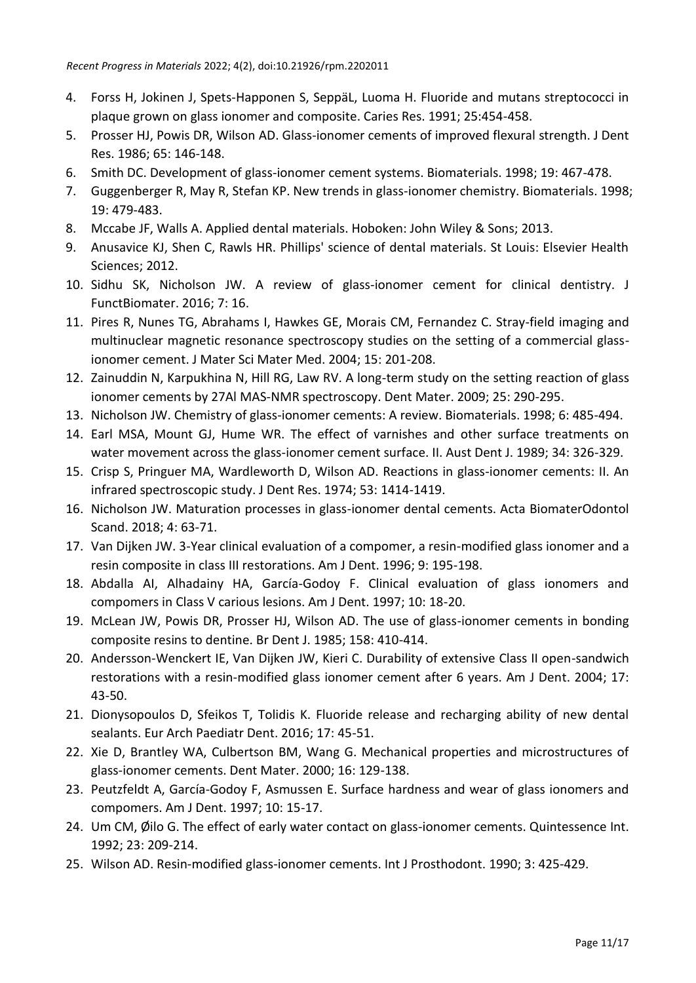- 4. Forss H, Jokinen J, Spets-Happonen S, SeppäL, Luoma H. Fluoride and mutans streptococci in plaque grown on glass ionomer and composite. Caries Res. 1991; 25:454-458.
- 5. Prosser HJ, Powis DR, Wilson AD. Glass-ionomer cements of improved flexural strength. J Dent Res. 1986; 65: 146-148.
- 6. Smith DC. Development of glass-ionomer cement systems. Biomaterials. 1998; 19: 467-478.
- 7. Guggenberger R, May R, Stefan KP. New trends in glass-ionomer chemistry. Biomaterials. 1998; 19: 479-483.
- 8. Mccabe JF, Walls A. Applied dental materials. Hoboken: John Wiley & Sons; 2013.
- 9. Anusavice KJ, Shen C, Rawls HR. Phillips' science of dental materials. St Louis: Elsevier Health Sciences; 2012.
- 10. Sidhu SK, Nicholson JW. A review of glass-ionomer cement for clinical dentistry. J FunctBiomater. 2016; 7: 16.
- 11. Pires R, Nunes TG, Abrahams I, Hawkes GE, Morais CM, Fernandez C. Stray-field imaging and multinuclear magnetic resonance spectroscopy studies on the setting of a commercial glassionomer cement. J Mater Sci Mater Med. 2004; 15: 201-208.
- 12. Zainuddin N, Karpukhina N, Hill RG, Law RV. A long-term study on the setting reaction of glass ionomer cements by 27Al MAS-NMR spectroscopy. Dent Mater. 2009; 25: 290-295.
- 13. Nicholson JW. Chemistry of glass-ionomer cements: A review. Biomaterials. 1998; 6: 485-494.
- 14. Earl MSA, Mount GJ, Hume WR. The effect of varnishes and other surface treatments on water movement across the glass-ionomer cement surface. II. Aust Dent J. 1989; 34: 326-329.
- 15. Crisp S, Pringuer MA, Wardleworth D, Wilson AD. Reactions in glass-ionomer cements: II. An infrared spectroscopic study. J Dent Res. 1974; 53: 1414-1419.
- 16. Nicholson JW. Maturation processes in glass-ionomer dental cements. Acta BiomaterOdontol Scand. 2018; 4: 63-71.
- 17. Van Dijken JW. 3-Year clinical evaluation of a compomer, a resin-modified glass ionomer and a resin composite in class III restorations. Am J Dent. 1996; 9: 195-198.
- 18. Abdalla AI, Alhadainy HA, García-Godoy F. Clinical evaluation of glass ionomers and compomers in Class V carious lesions. Am J Dent. 1997; 10: 18-20.
- 19. McLean JW, Powis DR, Prosser HJ, Wilson AD. The use of glass-ionomer cements in bonding composite resins to dentine. Br Dent J. 1985; 158: 410-414.
- 20. Andersson-Wenckert IE, Van Dijken JW, Kieri C. Durability of extensive Class II open-sandwich restorations with a resin-modified glass ionomer cement after 6 years. Am J Dent. 2004; 17: 43-50.
- 21. Dionysopoulos D, Sfeikos T, Tolidis K. Fluoride release and recharging ability of new dental sealants. Eur Arch Paediatr Dent. 2016; 17: 45-51.
- 22. Xie D, Brantley WA, Culbertson BM, Wang G. Mechanical properties and microstructures of glass-ionomer cements. Dent Mater. 2000; 16: 129-138.
- 23. Peutzfeldt A, García-Godoy F, Asmussen E. Surface hardness and wear of glass ionomers and compomers. Am J Dent. 1997; 10: 15-17.
- 24. Um CM, Øilo G. The effect of early water contact on glass-ionomer cements. Quintessence Int. 1992; 23: 209-214.
- 25. Wilson AD. Resin-modified glass-ionomer cements. Int J Prosthodont. 1990; 3: 425-429.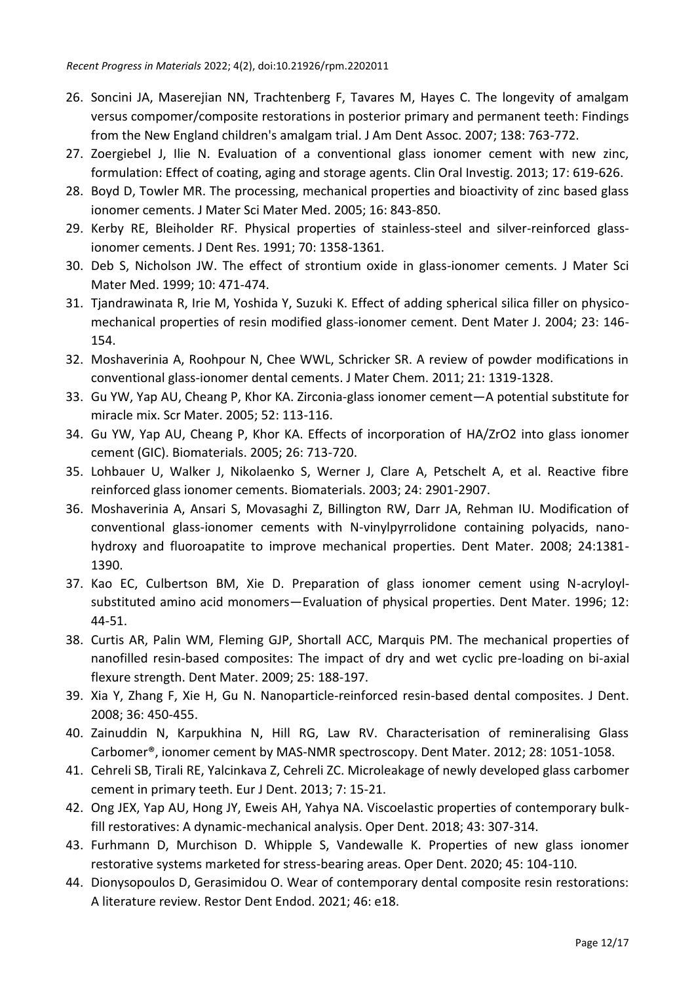- 26. Soncini JA, Maserejian NN, Trachtenberg F, Tavares M, Hayes C. The longevity of amalgam versus compomer/composite restorations in posterior primary and permanent teeth: Findings from the New England children's amalgam trial. J Am Dent Assoc. 2007; 138: 763-772.
- 27. Zoergiebel J, Ilie N. Evaluation of a conventional glass ionomer cement with new zinc, formulation: Effect of coating, aging and storage agents. Clin Oral Investig. 2013; 17: 619-626.
- 28. Boyd D, Towler MR. The processing, mechanical properties and bioactivity of zinc based glass ionomer cements. J Mater Sci Mater Med. 2005; 16: 843-850.
- 29. Kerby RE, Bleiholder RF. Physical properties of stainless-steel and silver-reinforced glassionomer cements. J Dent Res. 1991; 70: 1358-1361.
- 30. Deb S, Nicholson JW. The effect of strontium oxide in glass-ionomer cements. J Mater Sci Mater Med. 1999; 10: 471-474.
- 31. Tjandrawinata R, Irie M, Yoshida Y, Suzuki K. Effect of adding spherical silica filler on physicomechanical properties of resin modified glass-ionomer cement. Dent Mater J. 2004; 23: 146- 154.
- 32. Moshaverinia A, Roohpour N, Chee WWL, Schricker SR. A review of powder modifications in conventional glass-ionomer dental cements. J Mater Chem. 2011; 21: 1319-1328.
- 33. Gu YW, Yap AU, Cheang P, Khor KA. Zirconia-glass ionomer cement—A potential substitute for miracle mix. Scr Mater. 2005; 52: 113-116.
- 34. Gu YW, Yap AU, Cheang P, Khor KA. Effects of incorporation of HA/ZrO2 into glass ionomer cement (GIC). Biomaterials. 2005; 26: 713-720.
- 35. Lohbauer U, Walker J, Nikolaenko S, Werner J, Clare A, Petschelt A, et al. Reactive fibre reinforced glass ionomer cements. Biomaterials. 2003; 24: 2901-2907.
- 36. Moshaverinia A, Ansari S, Movasaghi Z, Billington RW, Darr JA, Rehman IU. Modification of conventional glass-ionomer cements with N-vinylpyrrolidone containing polyacids, nanohydroxy and fluoroapatite to improve mechanical properties. Dent Mater. 2008; 24:1381- 1390.
- 37. Kao EC, Culbertson BM, Xie D. Preparation of glass ionomer cement using N-acryloylsubstituted amino acid monomers—Evaluation of physical properties. Dent Mater. 1996; 12: 44-51.
- 38. Curtis AR, Palin WM, Fleming GJP, Shortall ACC, Marquis PM. The mechanical properties of nanofilled resin-based composites: The impact of dry and wet cyclic pre-loading on bi-axial flexure strength. Dent Mater. 2009; 25: 188-197.
- 39. Xia Y, Zhang F, Xie H, Gu N. Nanoparticle-reinforced resin-based dental composites. J Dent. 2008; 36: 450-455.
- 40. Zainuddin N, Karpukhina N, Hill RG, Law RV. Characterisation of remineralising Glass Carbomer®, ionomer cement by MAS-NMR spectroscopy. Dent Mater. 2012; 28: 1051-1058.
- 41. Cehreli SB, Tirali RE, Yalcinkava Z, Cehreli ZC. Microleakage of newly developed glass carbomer cement in primary teeth. Eur J Dent. 2013; 7: 15-21.
- 42. Ong JEX, Yap AU, Hong JY, Eweis AH, Yahya NA. Viscoelastic properties of contemporary bulkfill restoratives: A dynamic-mechanical analysis. Oper Dent. 2018; 43: 307-314.
- 43. Furhmann D, Murchison D. Whipple S, Vandewalle K. Properties of new glass ionomer restorative systems marketed for stress-bearing areas. Oper Dent. 2020; 45: 104-110.
- 44. Dionysopoulos D, Gerasimidou O. Wear of contemporary dental composite resin restorations: A literature review. Restor Dent Endod. 2021; 46: e18.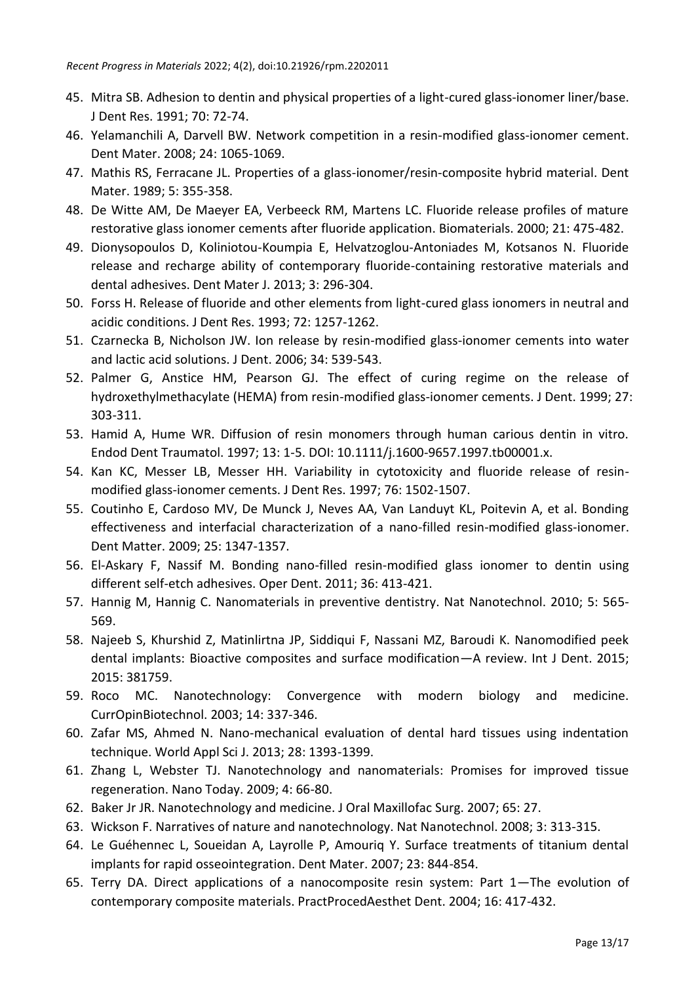- 45. Mitra SB. Adhesion to dentin and physical properties of a light-cured glass-ionomer liner/base. J Dent Res. 1991; 70: 72-74.
- 46. Yelamanchili A, Darvell BW. Network competition in a resin-modified glass-ionomer cement. Dent Mater. 2008; 24: 1065-1069.
- 47. Mathis RS, Ferracane JL. Properties of a glass-ionomer/resin-composite hybrid material. Dent Mater. 1989; 5: 355-358.
- 48. De Witte AM, De Maeyer EA, Verbeeck RM, Martens LC. Fluoride release profiles of mature restorative glass ionomer cements after fluoride application. Biomaterials. 2000; 21: 475-482.
- 49. Dionysopoulos D, Koliniotou-Koumpia E, Helvatzoglou-Antoniades M, Kotsanos N. Fluoride release and recharge ability of contemporary fluoride-containing restorative materials and dental adhesives. Dent Mater J. 2013; 3: 296-304.
- 50. Forss H. Release of fluoride and other elements from light-cured glass ionomers in neutral and acidic conditions. J Dent Res. 1993; 72: 1257-1262.
- 51. Czarnecka B, Nicholson JW. Ion release by resin-modified glass-ionomer cements into water and lactic acid solutions. J Dent. 2006; 34: 539-543.
- 52. Palmer G, Anstice HM, Pearson GJ. The effect of curing regime on the release of hydroxethylmethacylate (HEMA) from resin-modified glass-ionomer cements. J Dent. 1999; 27: 303-311.
- 53. Hamid A, Hume WR. Diffusion of resin monomers through human carious dentin in vitro. Endod Dent Traumatol. 1997; 13: 1-5. DOI: 10.1111/j.1600-9657.1997.tb00001.x.
- 54. Kan KC, Messer LB, Messer HH. Variability in cytotoxicity and fluoride release of resinmodified glass-ionomer cements. J Dent Res. 1997; 76: 1502-1507.
- 55. Coutinho E, Cardoso MV, De Munck J, Neves AA, Van Landuyt KL, Poitevin A, et al. Bonding effectiveness and interfacial characterization of a nano-filled resin-modified glass-ionomer. Dent Matter. 2009; 25: 1347-1357.
- 56. El-Askary F, Nassif M. Bonding nano-filled resin-modified glass ionomer to dentin using different self-etch adhesives. Oper Dent. 2011; 36: 413-421.
- 57. Hannig M, Hannig C. Nanomaterials in preventive dentistry. Nat Nanotechnol. 2010; 5: 565- 569.
- 58. Najeeb S, Khurshid Z, Matinlirtna JP, Siddiqui F, Nassani MZ, Baroudi K. Nanomodified peek dental implants: Bioactive composites and surface modification—A review. Int J Dent. 2015; 2015: 381759.
- 59. Roco MC. Nanotechnology: Convergence with modern biology and medicine. CurrOpinBiotechnol. 2003; 14: 337-346.
- 60. Zafar MS, Ahmed N. Nano-mechanical evaluation of dental hard tissues using indentation technique. World Appl Sci J. 2013; 28: 1393-1399.
- 61. Zhang L, Webster TJ. Nanotechnology and nanomaterials: Promises for improved tissue regeneration. Nano Today. 2009; 4: 66-80.
- 62. Baker Jr JR. Nanotechnology and medicine. J Oral Maxillofac Surg. 2007; 65: 27.
- 63. Wickson F. Narratives of nature and nanotechnology. Nat Nanotechnol. 2008; 3: 313-315.
- 64. Le Guéhennec L, Soueidan A, Layrolle P, Amouriq Y. Surface treatments of titanium dental implants for rapid osseointegration. Dent Mater. 2007; 23: 844-854.
- 65. Terry DA. Direct applications of a nanocomposite resin system: Part 1—The evolution of contemporary composite materials. PractProcedAesthet Dent. 2004; 16: 417-432.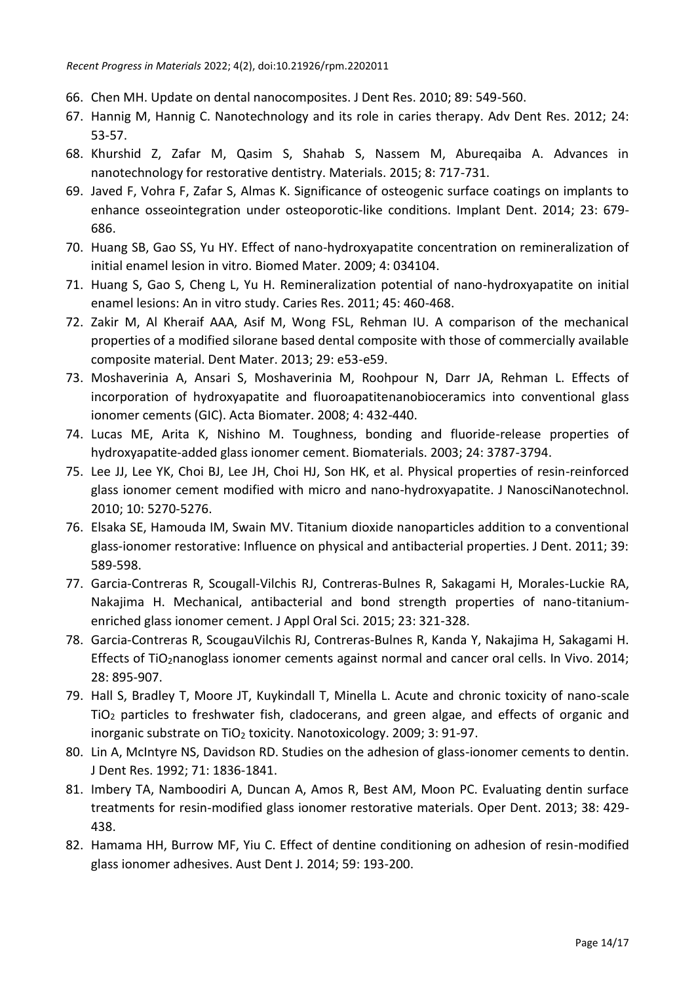- 66. Chen MH. Update on dental nanocomposites. J Dent Res. 2010; 89: 549-560.
- 67. Hannig M, Hannig C. Nanotechnology and its role in caries therapy. Adv Dent Res. 2012; 24: 53-57.
- 68. Khurshid Z, Zafar M, Qasim S, Shahab S, Nassem M, Abureqaiba A. Advances in nanotechnology for restorative dentistry. Materials. 2015; 8: 717-731.
- 69. Javed F, Vohra F, Zafar S, Almas K. Significance of osteogenic surface coatings on implants to enhance osseointegration under osteoporotic-like conditions. Implant Dent. 2014; 23: 679- 686.
- 70. Huang SB, Gao SS, Yu HY. Effect of nano-hydroxyapatite concentration on remineralization of initial enamel lesion in vitro. Biomed Mater. 2009; 4: 034104.
- 71. Huang S, Gao S, Cheng L, Yu H. Remineralization potential of nano-hydroxyapatite on initial enamel lesions: An in vitro study. Caries Res. 2011; 45: 460-468.
- 72. Zakir M, Al Kheraif AAA, Asif M, Wong FSL, Rehman IU. A comparison of the mechanical properties of a modified silorane based dental composite with those of commercially available composite material. Dent Mater. 2013; 29: e53-e59.
- 73. Moshaverinia A, Ansari S, Moshaverinia M, Roohpour N, Darr JA, Rehman L. Effects of incorporation of hydroxyapatite and fluoroapatitenanobioceramics into conventional glass ionomer cements (GIC). Acta Biomater. 2008; 4: 432-440.
- 74. Lucas ME, Arita K, Nishino M. Toughness, bonding and fluoride-release properties of hydroxyapatite-added glass ionomer cement. Biomaterials. 2003; 24: 3787-3794.
- 75. Lee JJ, Lee YK, Choi BJ, Lee JH, Choi HJ, Son HK, et al. Physical properties of resin-reinforced glass ionomer cement modified with micro and nano-hydroxyapatite. J NanosciNanotechnol. 2010; 10: 5270-5276.
- 76. Elsaka SE, Hamouda IM, Swain MV. Titanium dioxide nanoparticles addition to a conventional glass-ionomer restorative: Influence on physical and antibacterial properties. J Dent. 2011; 39: 589-598.
- 77. Garcia-Contreras R, Scougall-Vilchis RJ, Contreras-Bulnes R, Sakagami H, Morales-Luckie RA, Nakajima H. Mechanical, antibacterial and bond strength properties of nano-titaniumenriched glass ionomer cement. J Appl Oral Sci. 2015; 23: 321-328.
- 78. Garcia-Contreras R, ScougauVilchis RJ, Contreras-Bulnes R, Kanda Y, Nakajima H, Sakagami H. Effects of TiO<sub>2</sub>nanoglass ionomer cements against normal and cancer oral cells. In Vivo. 2014; 28: 895-907.
- 79. Hall S, Bradley T, Moore JT, Kuykindall T, Minella L. Acute and chronic toxicity of nano-scale TiO<sup>2</sup> particles to freshwater fish, cladocerans, and green algae, and effects of organic and inorganic substrate on TiO<sub>2</sub> toxicity. Nanotoxicology. 2009; 3: 91-97.
- 80. Lin A, McIntyre NS, Davidson RD. Studies on the adhesion of glass-ionomer cements to dentin. J Dent Res. 1992; 71: 1836-1841.
- 81. Imbery TA, Namboodiri A, Duncan A, Amos R, Best AM, Moon PC. Evaluating dentin surface treatments for resin-modified glass ionomer restorative materials. Oper Dent. 2013; 38: 429- 438.
- 82. Hamama HH, Burrow MF, Yiu C. Effect of dentine conditioning on adhesion of resin-modified glass ionomer adhesives. Aust Dent J. 2014; 59: 193-200.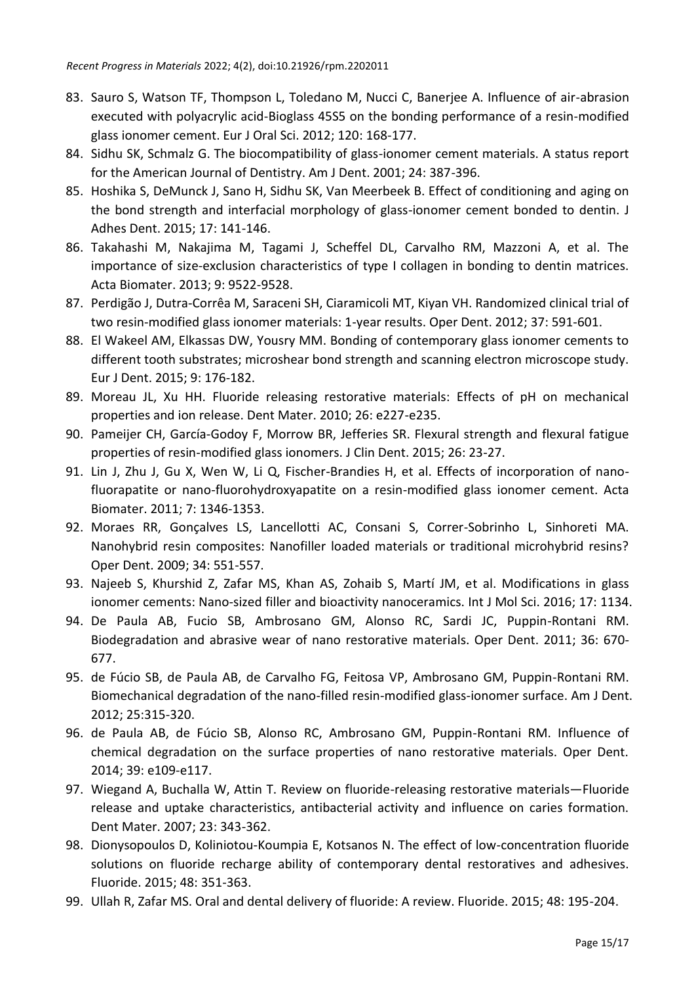- 83. Sauro S, Watson TF, Thompson L, Toledano M, Nucci C, Banerjee A. Influence of air-abrasion executed with polyacrylic acid-Bioglass 45S5 on the bonding performance of a resin-modified glass ionomer cement. Eur J Oral Sci. 2012; 120: 168-177.
- 84. Sidhu SK, Schmalz G. The biocompatibility of glass-ionomer cement materials. A status report for the American Journal of Dentistry. Am J Dent. 2001; 24: 387-396.
- 85. Hoshika S, DeMunck J, Sano H, Sidhu SK, Van Meerbeek B. Effect of conditioning and aging on the bond strength and interfacial morphology of glass-ionomer cement bonded to dentin. J Adhes Dent. 2015; 17: 141-146.
- 86. Takahashi M, Nakajima M, Tagami J, Scheffel DL, Carvalho RM, Mazzoni A, et al. The importance of size-exclusion characteristics of type I collagen in bonding to dentin matrices. Acta Biomater. 2013; 9: 9522-9528.
- 87. Perdigão J, Dutra-Corrêa M, Saraceni SH, Ciaramicoli MT, Kiyan VH. Randomized clinical trial of two resin-modified glass ionomer materials: 1-year results. Oper Dent. 2012; 37: 591-601.
- 88. El Wakeel AM, Elkassas DW, Yousry MM. Bonding of contemporary glass ionomer cements to different tooth substrates; microshear bond strength and scanning electron microscope study. Eur J Dent. 2015; 9: 176-182.
- 89. Moreau JL, Xu HH. Fluoride releasing restorative materials: Effects of pH on mechanical properties and ion release. Dent Mater. 2010; 26: e227-e235.
- 90. Pameijer CH, García-Godoy F, Morrow BR, Jefferies SR. Flexural strength and flexural fatigue properties of resin-modified glass ionomers. J Clin Dent. 2015; 26: 23-27.
- 91. Lin J, Zhu J, Gu X, Wen W, Li Q, Fischer-Brandies H, et al. Effects of incorporation of nanofluorapatite or nano-fluorohydroxyapatite on a resin-modified glass ionomer cement. Acta Biomater. 2011; 7: 1346-1353.
- 92. Moraes RR, Gonçalves LS, Lancellotti AC, Consani S, Correr-Sobrinho L, Sinhoreti MA. Nanohybrid resin composites: Nanofiller loaded materials or traditional microhybrid resins? Oper Dent. 2009; 34: 551-557.
- 93. Najeeb S, Khurshid Z, Zafar MS, Khan AS, Zohaib S, Martí JM, et al. Modifications in glass ionomer cements: Nano-sized filler and bioactivity nanoceramics. Int J Mol Sci. 2016; 17: 1134.
- 94. De Paula AB, Fucio SB, Ambrosano GM, Alonso RC, Sardi JC, Puppin-Rontani RM. Biodegradation and abrasive wear of nano restorative materials. Oper Dent. 2011; 36: 670- 677.
- 95. de Fúcio SB, de Paula AB, de Carvalho FG, Feitosa VP, Ambrosano GM, Puppin-Rontani RM. Biomechanical degradation of the nano-filled resin-modified glass-ionomer surface. Am J Dent. 2012; 25:315-320.
- 96. de Paula AB, de Fúcio SB, Alonso RC, Ambrosano GM, Puppin-Rontani RM. Influence of chemical degradation on the surface properties of nano restorative materials. Oper Dent. 2014; 39: e109-e117.
- 97. Wiegand A, Buchalla W, Attin T. Review on fluoride-releasing restorative materials—Fluoride release and uptake characteristics, antibacterial activity and influence on caries formation. Dent Mater. 2007; 23: 343-362.
- 98. Dionysopoulos D, Koliniotou-Koumpia E, Kotsanos N. The effect of low-concentration fluoride solutions on fluoride recharge ability of contemporary dental restoratives and adhesives. Fluoride. 2015; 48: 351-363.
- 99. Ullah R, Zafar MS. Oral and dental delivery of fluoride: A review. Fluoride. 2015; 48: 195-204.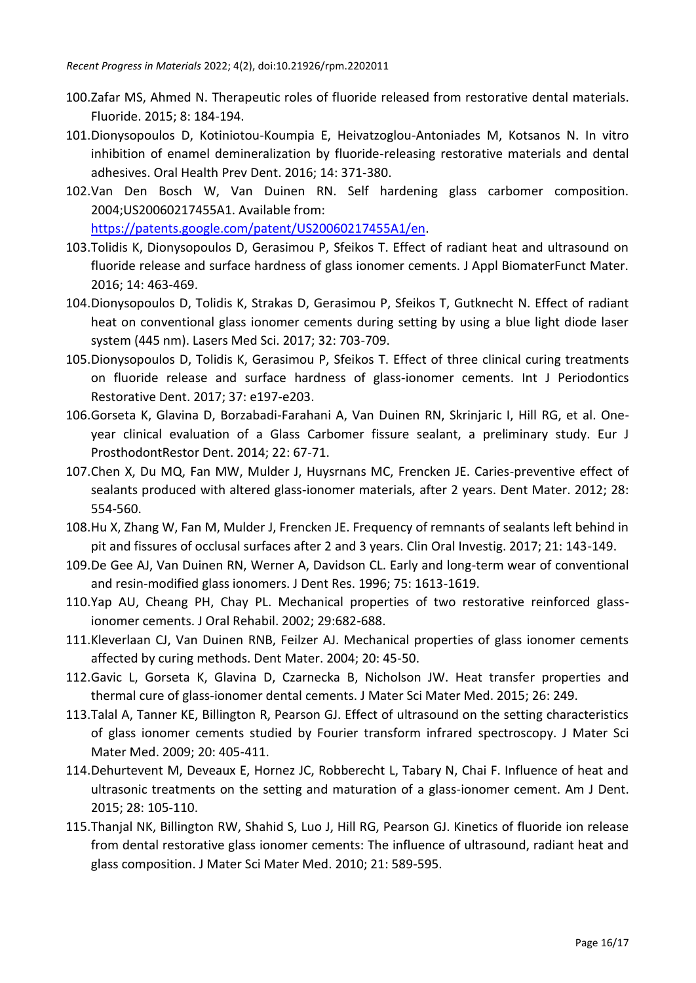- 100.Zafar MS, Ahmed N. Therapeutic roles of fluoride released from restorative dental materials. Fluoride. 2015; 8: 184-194.
- 101.Dionysopoulos D, Kotiniotou-Koumpia E, Heivatzoglou-Antoniades M, Kotsanos N. In vitro inhibition of enamel demineralization by fluoride-releasing restorative materials and dental adhesives. Oral Health Prev Dent. 2016; 14: 371-380.
- 102.Van Den Bosch W, Van Duinen RN. Self hardening glass carbomer composition. 2004;US20060217455A1. Available from: [https://patents.google.com/patent/US20060217455A1/en.](https://patents.google.com/patent/US20060217455A1/en)
- 103.Tolidis K, Dionysopoulos D, Gerasimou P, Sfeikos T. Effect of radiant heat and ultrasound on fluoride release and surface hardness of glass ionomer cements. J Appl BiomaterFunct Mater. 2016; 14: 463-469.
- 104.Dionysopoulos D, Tolidis K, Strakas D, Gerasimou P, Sfeikos T, Gutknecht N. Effect of radiant heat on conventional glass ionomer cements during setting by using a blue light diode laser system (445 nm). Lasers Med Sci. 2017; 32: 703-709.
- 105.Dionysopoulos D, Tolidis K, Gerasimou P, Sfeikos T. Effect of three clinical curing treatments on fluoride release and surface hardness of glass-ionomer cements. Int J Periodontics Restorative Dent. 2017; 37: e197-e203.
- 106.Gorseta K, Glavina D, Borzabadi-Farahani A, Van Duinen RN, Skrinjaric I, Hill RG, et al. Oneyear clinical evaluation of a Glass Carbomer fissure sealant, a preliminary study. Eur J ProsthodontRestor Dent. 2014; 22: 67-71.
- 107.Chen X, Du MQ, Fan MW, Mulder J, Huysrnans MC, Frencken JE. Caries-preventive effect of sealants produced with altered glass-ionomer materials, after 2 years. Dent Mater. 2012; 28: 554-560.
- 108.Hu X, Zhang W, Fan M, Mulder J, Frencken JE. Frequency of remnants of sealants left behind in pit and fissures of occlusal surfaces after 2 and 3 years. Clin Oral Investig. 2017; 21: 143-149.
- 109.De Gee AJ, Van Duinen RN, Werner A, Davidson CL. Early and long-term wear of conventional and resin-modified glass ionomers. J Dent Res. 1996; 75: 1613-1619.
- 110.Yap AU, Cheang PH, Chay PL. Mechanical properties of two restorative reinforced glassionomer cements. J Oral Rehabil. 2002; 29:682-688.
- 111.Kleverlaan CJ, Van Duinen RNB, Feilzer AJ. Mechanical properties of glass ionomer cements affected by curing methods. Dent Mater. 2004; 20: 45-50.
- 112.Gavic L, Gorseta K, Glavina D, Czarnecka B, Nicholson JW. Heat transfer properties and thermal cure of glass-ionomer dental cements. J Mater Sci Mater Med. 2015; 26: 249.
- 113.Talal A, Tanner KE, Billington R, Pearson GJ. Effect of ultrasound on the setting characteristics of glass ionomer cements studied by Fourier transform infrared spectroscopy. J Mater Sci Mater Med. 2009; 20: 405-411.
- 114.Dehurtevent M, Deveaux E, Hornez JC, Robberecht L, Tabary N, Chai F. Influence of heat and ultrasonic treatments on the setting and maturation of a glass-ionomer cement. Am J Dent. 2015; 28: 105-110.
- 115.Thanjal NK, Billington RW, Shahid S, Luo J, Hill RG, Pearson GJ. Kinetics of fluoride ion release from dental restorative glass ionomer cements: The influence of ultrasound, radiant heat and glass composition. J Mater Sci Mater Med. 2010; 21: 589-595.